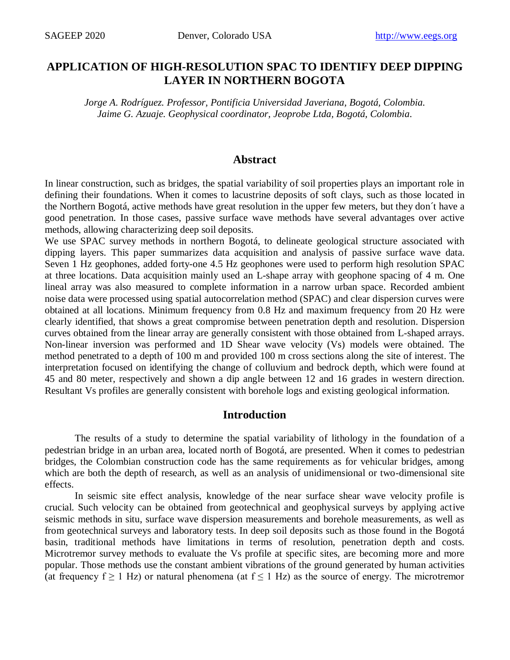# **APPLICATION OF HIGH-RESOLUTION SPAC TO IDENTIFY DEEP DIPPING LAYER IN NORTHERN BOGOTA**

*Jorge A. Rodríguez. Professor, Pontificia Universidad Javeriana, Bogotá, Colombia. Jaime G. Azuaje. Geophysical coordinator, Jeoprobe Ltda, Bogotá, Colombia*.

#### **Abstract**

In linear construction, such as bridges, the spatial variability of soil properties plays an important role in defining their foundations. When it comes to lacustrine deposits of soft clays, such as those located in the Northern Bogotá, active methods have great resolution in the upper few meters, but they don´t have a good penetration. In those cases, passive surface wave methods have several advantages over active methods, allowing characterizing deep soil deposits.

We use SPAC survey methods in northern Bogotá, to delineate geological structure associated with dipping layers. This paper summarizes data acquisition and analysis of passive surface wave data. Seven 1 Hz geophones, added forty-one 4.5 Hz geophones were used to perform high resolution SPAC at three locations. Data acquisition mainly used an L-shape array with geophone spacing of 4 m. One lineal array was also measured to complete information in a narrow urban space. Recorded ambient noise data were processed using spatial autocorrelation method (SPAC) and clear dispersion curves were obtained at all locations. Minimum frequency from 0.8 Hz and maximum frequency from 20 Hz were clearly identified, that shows a great compromise between penetration depth and resolution. Dispersion curves obtained from the linear array are generally consistent with those obtained from L-shaped arrays. Non-linear inversion was performed and 1D Shear wave velocity (Vs) models were obtained. The method penetrated to a depth of 100 m and provided 100 m cross sections along the site of interest. The interpretation focused on identifying the change of colluvium and bedrock depth, which were found at 45 and 80 meter, respectively and shown a dip angle between 12 and 16 grades in western direction. Resultant Vs profiles are generally consistent with borehole logs and existing geological information.

#### **Introduction**

The results of a study to determine the spatial variability of lithology in the foundation of a pedestrian bridge in an urban area, located north of Bogotá, are presented. When it comes to pedestrian bridges, the Colombian construction code has the same requirements as for vehicular bridges, among which are both the depth of research, as well as an analysis of unidimensional or two-dimensional site effects.

In seismic site effect analysis, knowledge of the near surface shear wave velocity profile is crucial. Such velocity can be obtained from geotechnical and geophysical surveys by applying active seismic methods in situ, surface wave dispersion measurements and borehole measurements, as well as from geotechnical surveys and laboratory tests. In deep soil deposits such as those found in the Bogotá basin, traditional methods have limitations in terms of resolution, penetration depth and costs. Microtremor survey methods to evaluate the Vs profile at specific sites, are becoming more and more popular. Those methods use the constant ambient vibrations of the ground generated by human activities (at frequency  $f \ge 1$  Hz) or natural phenomena (at  $f \le 1$  Hz) as the source of energy. The microtremor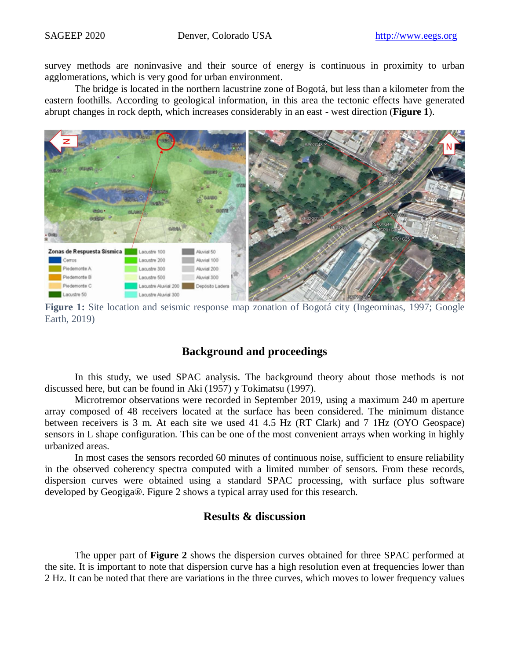survey methods are noninvasive and their source of energy is continuous in proximity to urban agglomerations, which is very good for urban environment.

The bridge is located in the northern lacustrine zone of Bogotá, but less than a kilometer from the eastern foothills. According to geological information, in this area the tectonic effects have generated abrupt changes in rock depth, which increases considerably in an east - west direction (**[Figure 1](#page-1-0)**).



**Figure 1:** Site location and seismic response map zonation of Bogotá city (Ingeominas, 1997; Google Earth, 2019)

### **Background and proceedings**

<span id="page-1-0"></span>In this study, we used SPAC analysis. The background theory about those methods is not discussed here, but can be found in Aki (1957) y Tokimatsu (1997).

Microtremor observations were recorded in September 2019, using a maximum 240 m aperture array composed of 48 receivers located at the surface has been considered. The minimum distance between receivers is 3 m. At each site we used 41 4.5 Hz (RT Clark) and 7 1Hz (OYO Geospace) sensors in L shape configuration. This can be one of the most convenient arrays when working in highly urbanized areas.

In most cases the sensors recorded 60 minutes of continuous noise, sufficient to ensure reliability in the observed coherency spectra computed with a limited number of sensors. From these records, dispersion curves were obtained using a standard SPAC processing, with surface plus software developed by Geogiga®. Figure 2 shows a typical array used for this research.

#### **Results & discussion**

The upper part of **[Figure 2](#page-2-0)** shows the dispersion curves obtained for three SPAC performed at the site. It is important to note that dispersion curve has a high resolution even at frequencies lower than 2 Hz. It can be noted that there are variations in the three curves, which moves to lower frequency values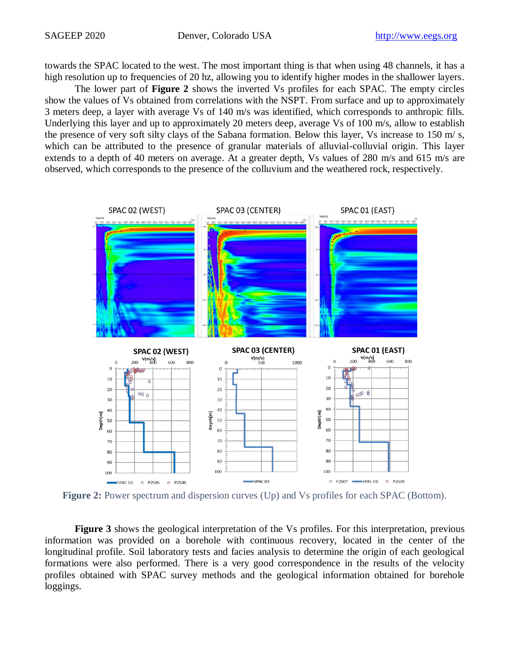towards the SPAC located to the west. The most important thing is that when using 48 channels, it has a high resolution up to frequencies of 20 hz, allowing you to identify higher modes in the shallower layers.

The lower part of **[Figure 2](#page-2-0)** shows the inverted Vs profiles for each SPAC. The empty circles show the values of Vs obtained from correlations with the NSPT. From surface and up to approximately 3 meters deep, a layer with average Vs of 140 m/s was identified, which corresponds to anthropic fills. Underlying this layer and up to approximately 20 meters deep, average Vs of 100 m/s, allow to establish the presence of very soft silty clays of the Sabana formation. Below this layer, Vs increase to 150 m/ s, which can be attributed to the presence of granular materials of alluvial-colluvial origin. This layer extends to a depth of 40 meters on average. At a greater depth, Vs values of 280 m/s and 615 m/s are observed, which corresponds to the presence of the colluvium and the weathered rock, respectively.



<span id="page-2-0"></span>**Figure 2:** Power spectrum and dispersion curves (Up) and Vs profiles for each SPAC (Bottom).

**[Figure 3](#page-3-0)** shows the geological interpretation of the Vs profiles. For this interpretation, previous information was provided on a borehole with continuous recovery, located in the center of the longitudinal profile. Soil laboratory tests and facies analysis to determine the origin of each geological formations were also performed. There is a very good correspondence in the results of the velocity profiles obtained with SPAC survey methods and the geological information obtained for borehole loggings.